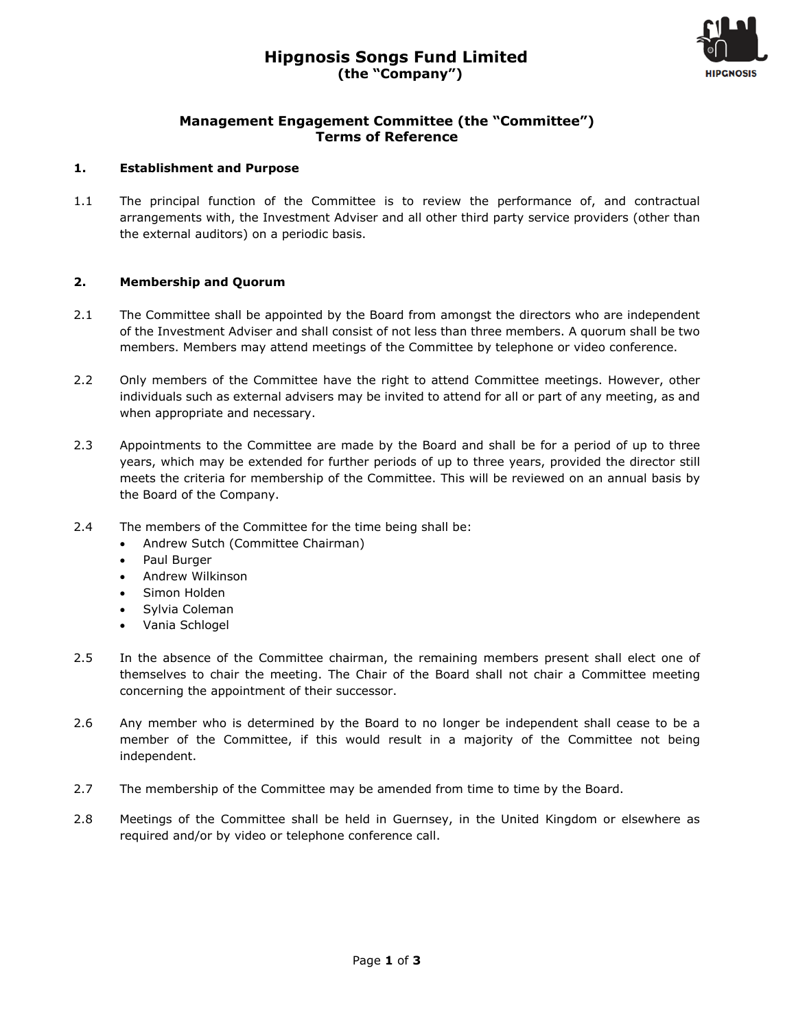

## **Management Engagement Committee (the "Committee") Terms of Reference**

## **1. Establishment and Purpose**

1.1 The principal function of the Committee is to review the performance of, and contractual arrangements with, the Investment Adviser and all other third party service providers (other than the external auditors) on a periodic basis.

## **2. Membership and Quorum**

- 2.1 The Committee shall be appointed by the Board from amongst the directors who are independent of the Investment Adviser and shall consist of not less than three members. A quorum shall be two members. Members may attend meetings of the Committee by telephone or video conference.
- 2.2 Only members of the Committee have the right to attend Committee meetings. However, other individuals such as external advisers may be invited to attend for all or part of any meeting, as and when appropriate and necessary.
- 2.3 Appointments to the Committee are made by the Board and shall be for a period of up to three years, which may be extended for further periods of up to three years, provided the director still meets the criteria for membership of the Committee. This will be reviewed on an annual basis by the Board of the Company.
- 2.4 The members of the Committee for the time being shall be:
	- Andrew Sutch (Committee Chairman)
	- Paul Burger
	- Andrew Wilkinson
	- Simon Holden
	- Sylvia Coleman
	- Vania Schlogel
- 2.5 In the absence of the Committee chairman, the remaining members present shall elect one of themselves to chair the meeting. The Chair of the Board shall not chair a Committee meeting concerning the appointment of their successor.
- 2.6 Any member who is determined by the Board to no longer be independent shall cease to be a member of the Committee, if this would result in a majority of the Committee not being independent.
- 2.7 The membership of the Committee may be amended from time to time by the Board.
- 2.8 Meetings of the Committee shall be held in Guernsey, in the United Kingdom or elsewhere as required and/or by video or telephone conference call.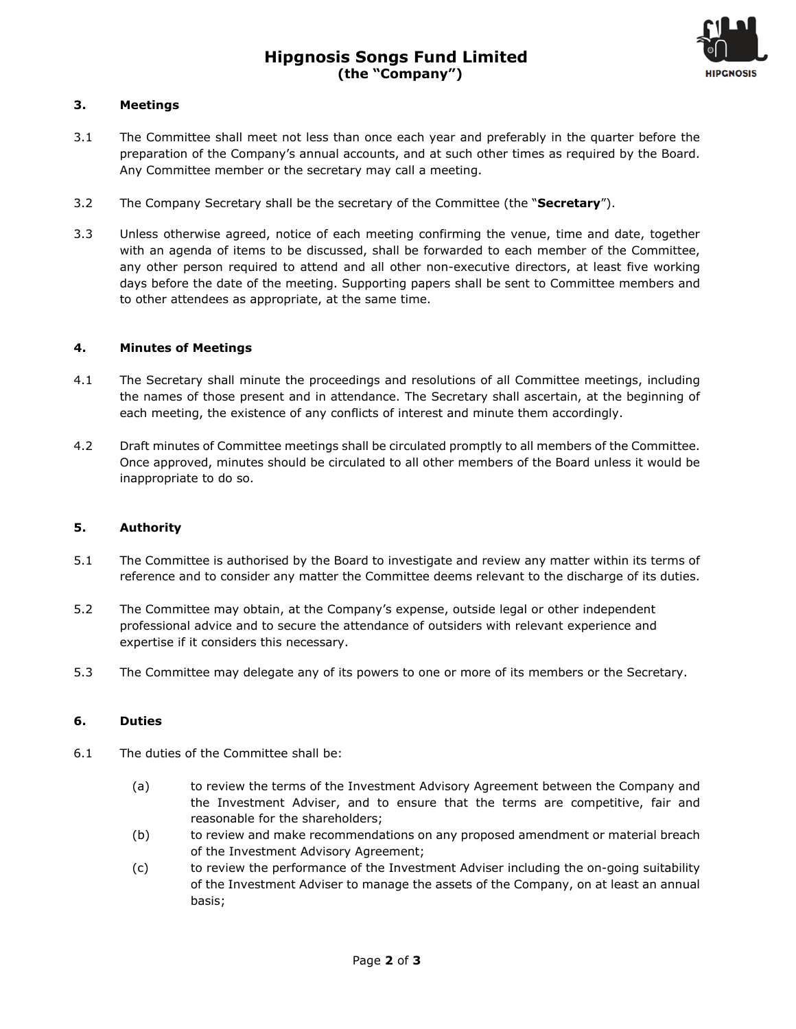

## **3. Meetings**

- 3.1 The Committee shall meet not less than once each year and preferably in the quarter before the preparation of the Company's annual accounts, and at such other times as required by the Board. Any Committee member or the secretary may call a meeting.
- 3.2 The Company Secretary shall be the secretary of the Committee (the "**Secretary**").
- 3.3 Unless otherwise agreed, notice of each meeting confirming the venue, time and date, together with an agenda of items to be discussed, shall be forwarded to each member of the Committee, any other person required to attend and all other non-executive directors, at least five working days before the date of the meeting. Supporting papers shall be sent to Committee members and to other attendees as appropriate, at the same time.

#### **4. Minutes of Meetings**

- 4.1 The Secretary shall minute the proceedings and resolutions of all Committee meetings, including the names of those present and in attendance. The Secretary shall ascertain, at the beginning of each meeting, the existence of any conflicts of interest and minute them accordingly.
- 4.2 Draft minutes of Committee meetings shall be circulated promptly to all members of the Committee. Once approved, minutes should be circulated to all other members of the Board unless it would be inappropriate to do so.

#### **5. Authority**

- 5.1 The Committee is authorised by the Board to investigate and review any matter within its terms of reference and to consider any matter the Committee deems relevant to the discharge of its duties.
- 5.2 The Committee may obtain, at the Company's expense, outside legal or other independent professional advice and to secure the attendance of outsiders with relevant experience and expertise if it considers this necessary.
- 5.3 The Committee may delegate any of its powers to one or more of its members or the Secretary.

#### **6. Duties**

- 6.1 The duties of the Committee shall be:
	- (a) to review the terms of the Investment Advisory Agreement between the Company and the Investment Adviser, and to ensure that the terms are competitive, fair and reasonable for the shareholders;
	- (b) to review and make recommendations on any proposed amendment or material breach of the Investment Advisory Agreement;
	- (c) to review the performance of the Investment Adviser including the on-going suitability of the Investment Adviser to manage the assets of the Company, on at least an annual basis;